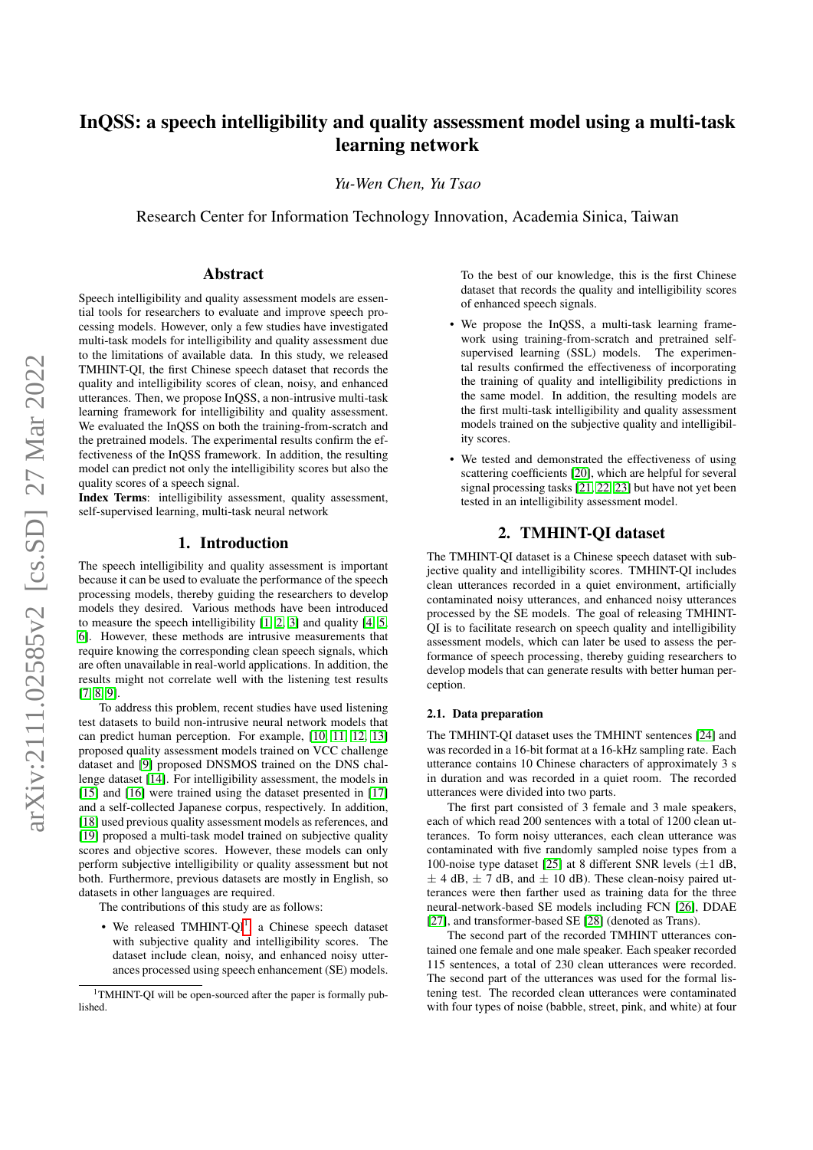# InQSS: a speech intelligibility and quality assessment model using a multi-task learning network

*Yu-Wen Chen, Yu Tsao*

Research Center for Information Technology Innovation, Academia Sinica, Taiwan

# Abstract

Speech intelligibility and quality assessment models are essential tools for researchers to evaluate and improve speech processing models. However, only a few studies have investigated multi-task models for intelligibility and quality assessment due to the limitations of available data. In this study, we released TMHINT-QI, the first Chinese speech dataset that records the quality and intelligibility scores of clean, noisy, and enhanced utterances. Then, we propose InQSS, a non-intrusive multi-task learning framework for intelligibility and quality assessment. We evaluated the InQSS on both the training-from-scratch and the pretrained models. The experimental results confirm the effectiveness of the InQSS framework. In addition, the resulting model can predict not only the intelligibility scores but also the quality scores of a speech signal.

Index Terms: intelligibility assessment, quality assessment, self-supervised learning, multi-task neural network

## 1. Introduction

The speech intelligibility and quality assessment is important because it can be used to evaluate the performance of the speech processing models, thereby guiding the researchers to develop models they desired. Various methods have been introduced to measure the speech intelligibility [\[1,](#page-4-0) [2,](#page-4-1) [3\]](#page-4-2) and quality [\[4,](#page-4-3) [5,](#page-4-4) [6\]](#page-4-5). However, these methods are intrusive measurements that require knowing the corresponding clean speech signals, which are often unavailable in real-world applications. In addition, the results might not correlate well with the listening test results [\[7,](#page-4-6) [8,](#page-4-7) [9\]](#page-4-8).

To address this problem, recent studies have used listening test datasets to build non-intrusive neural network models that can predict human perception. For example, [\[10,](#page-4-9) [11,](#page-4-10) [12,](#page-4-11) [13\]](#page-4-12) proposed quality assessment models trained on VCC challenge dataset and [\[9\]](#page-4-8) proposed DNSMOS trained on the DNS challenge dataset [\[14\]](#page-4-13). For intelligibility assessment, the models in [\[15\]](#page-4-14) and [\[16\]](#page-4-15) were trained using the dataset presented in [\[17\]](#page-4-16) and a self-collected Japanese corpus, respectively. In addition, [\[18\]](#page-4-17) used previous quality assessment models as references, and [\[19\]](#page-4-18) proposed a multi-task model trained on subjective quality scores and objective scores. However, these models can only perform subjective intelligibility or quality assessment but not both. Furthermore, previous datasets are mostly in English, so datasets in other languages are required.

The contributions of this study are as follows:

• We released TMHINT-QI<sup>[1](#page-0-0)</sup>, a Chinese speech dataset with subjective quality and intelligibility scores. The dataset include clean, noisy, and enhanced noisy utterances processed using speech enhancement (SE) models.

To the best of our knowledge, this is the first Chinese dataset that records the quality and intelligibility scores of enhanced speech signals.

- We propose the InQSS, a multi-task learning framework using training-from-scratch and pretrained selfsupervised learning (SSL) models. The experimental results confirmed the effectiveness of incorporating the training of quality and intelligibility predictions in the same model. In addition, the resulting models are the first multi-task intelligibility and quality assessment models trained on the subjective quality and intelligibility scores.
- We tested and demonstrated the effectiveness of using scattering coefficients [\[20\]](#page-4-19), which are helpful for several signal processing tasks [\[21,](#page-4-20) [22,](#page-4-21) [23\]](#page-4-22) but have not yet been tested in an intelligibility assessment model.

# 2. TMHINT-QI dataset

The TMHINT-QI dataset is a Chinese speech dataset with subjective quality and intelligibility scores. TMHINT-QI includes clean utterances recorded in a quiet environment, artificially contaminated noisy utterances, and enhanced noisy utterances processed by the SE models. The goal of releasing TMHINT-QI is to facilitate research on speech quality and intelligibility assessment models, which can later be used to assess the performance of speech processing, thereby guiding researchers to develop models that can generate results with better human perception.

#### 2.1. Data preparation

The TMHINT-QI dataset uses the TMHINT sentences [\[24\]](#page-4-23) and was recorded in a 16-bit format at a 16-kHz sampling rate. Each utterance contains 10 Chinese characters of approximately 3 s in duration and was recorded in a quiet room. The recorded utterances were divided into two parts.

The first part consisted of 3 female and 3 male speakers, each of which read 200 sentences with a total of 1200 clean utterances. To form noisy utterances, each clean utterance was contaminated with five randomly sampled noise types from a 100-noise type dataset [\[25\]](#page-4-24) at 8 different SNR levels  $(\pm 1 \text{ dB},$  $\pm$  4 dB,  $\pm$  7 dB, and  $\pm$  10 dB). These clean-noisy paired utterances were then farther used as training data for the three neural-network-based SE models including FCN [\[26\]](#page-4-25), DDAE [\[27\]](#page-4-26), and transformer-based SE [\[28\]](#page-4-27) (denoted as Trans).

The second part of the recorded TMHINT utterances contained one female and one male speaker. Each speaker recorded 115 sentences, a total of 230 clean utterances were recorded. The second part of the utterances was used for the formal listening test. The recorded clean utterances were contaminated with four types of noise (babble, street, pink, and white) at four

<span id="page-0-0"></span><sup>&</sup>lt;sup>1</sup>TMHINT-QI will be open-sourced after the paper is formally published.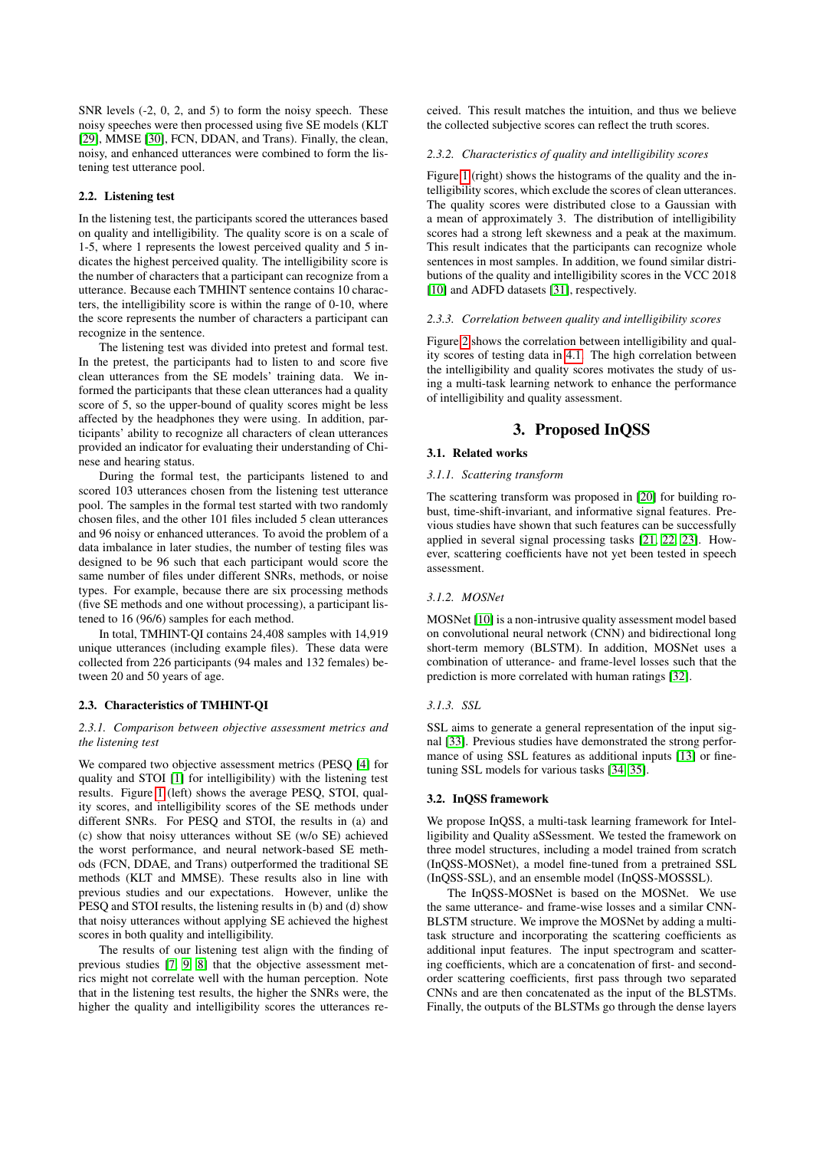SNR levels  $(-2, 0, 2, \text{ and } 5)$  to form the noisy speech. These noisy speeches were then processed using five SE models (KLT [\[29\]](#page-4-28), MMSE [\[30\]](#page-4-29), FCN, DDAN, and Trans). Finally, the clean, noisy, and enhanced utterances were combined to form the listening test utterance pool.

#### 2.2. Listening test

In the listening test, the participants scored the utterances based on quality and intelligibility. The quality score is on a scale of 1-5, where 1 represents the lowest perceived quality and 5 indicates the highest perceived quality. The intelligibility score is the number of characters that a participant can recognize from a utterance. Because each TMHINT sentence contains 10 characters, the intelligibility score is within the range of 0-10, where the score represents the number of characters a participant can recognize in the sentence.

The listening test was divided into pretest and formal test. In the pretest, the participants had to listen to and score five clean utterances from the SE models' training data. We informed the participants that these clean utterances had a quality score of 5, so the upper-bound of quality scores might be less affected by the headphones they were using. In addition, participants' ability to recognize all characters of clean utterances provided an indicator for evaluating their understanding of Chinese and hearing status.

During the formal test, the participants listened to and scored 103 utterances chosen from the listening test utterance pool. The samples in the formal test started with two randomly chosen files, and the other 101 files included 5 clean utterances and 96 noisy or enhanced utterances. To avoid the problem of a data imbalance in later studies, the number of testing files was designed to be 96 such that each participant would score the same number of files under different SNRs, methods, or noise types. For example, because there are six processing methods (five SE methods and one without processing), a participant listened to 16 (96/6) samples for each method.

In total, TMHINT-QI contains 24,408 samples with 14,919 unique utterances (including example files). These data were collected from 226 participants (94 males and 132 females) between 20 and 50 years of age.

#### 2.3. Characteristics of TMHINT-QI

#### *2.3.1. Comparison between objective assessment metrics and the listening test*

We compared two objective assessment metrics (PESQ [\[4\]](#page-4-3) for quality and STOI [\[1\]](#page-4-0) for intelligibility) with the listening test results. Figure [1](#page-2-0) (left) shows the average PESQ, STOI, quality scores, and intelligibility scores of the SE methods under different SNRs. For PESQ and STOI, the results in (a) and (c) show that noisy utterances without SE (w/o SE) achieved the worst performance, and neural network-based SE methods (FCN, DDAE, and Trans) outperformed the traditional SE methods (KLT and MMSE). These results also in line with previous studies and our expectations. However, unlike the PESQ and STOI results, the listening results in (b) and (d) show that noisy utterances without applying SE achieved the highest scores in both quality and intelligibility.

The results of our listening test align with the finding of previous studies [\[7,](#page-4-6) [9,](#page-4-8) [8\]](#page-4-7) that the objective assessment metrics might not correlate well with the human perception. Note that in the listening test results, the higher the SNRs were, the higher the quality and intelligibility scores the utterances received. This result matches the intuition, and thus we believe the collected subjective scores can reflect the truth scores.

#### *2.3.2. Characteristics of quality and intelligibility scores*

Figure [1](#page-2-0) (right) shows the histograms of the quality and the intelligibility scores, which exclude the scores of clean utterances. The quality scores were distributed close to a Gaussian with a mean of approximately 3. The distribution of intelligibility scores had a strong left skewness and a peak at the maximum. This result indicates that the participants can recognize whole sentences in most samples. In addition, we found similar distributions of the quality and intelligibility scores in the VCC 2018 [\[10\]](#page-4-9) and ADFD datasets [\[31\]](#page-4-30), respectively.

#### *2.3.3. Correlation between quality and intelligibility scores*

Figure [2](#page-2-1) shows the correlation between intelligibility and quality scores of testing data in [4.1.](#page-2-2) The high correlation between the intelligibility and quality scores motivates the study of using a multi-task learning network to enhance the performance of intelligibility and quality assessment.

# 3. Proposed InQSS

### 3.1. Related works

*3.1.1. Scattering transform*

The scattering transform was proposed in [\[20\]](#page-4-19) for building robust, time-shift-invariant, and informative signal features. Previous studies have shown that such features can be successfully applied in several signal processing tasks [\[21,](#page-4-20) [22,](#page-4-21) [23\]](#page-4-22). However, scattering coefficients have not yet been tested in speech assessment.

#### *3.1.2. MOSNet*

MOSNet [\[10\]](#page-4-9) is a non-intrusive quality assessment model based on convolutional neural network (CNN) and bidirectional long short-term memory (BLSTM). In addition, MOSNet uses a combination of utterance- and frame-level losses such that the prediction is more correlated with human ratings [\[32\]](#page-4-31).

### *3.1.3. SSL*

SSL aims to generate a general representation of the input signal [\[33\]](#page-4-32). Previous studies have demonstrated the strong performance of using SSL features as additional inputs [\[13\]](#page-4-12) or finetuning SSL models for various tasks [\[34,](#page-4-33) [35\]](#page-4-34).

#### 3.2. InQSS framework

We propose InQSS, a multi-task learning framework for Intelligibility and Quality aSSessment. We tested the framework on three model structures, including a model trained from scratch (InQSS-MOSNet), a model fine-tuned from a pretrained SSL (InQSS-SSL), and an ensemble model (InQSS-MOSSSL).

The InQSS-MOSNet is based on the MOSNet. We use the same utterance- and frame-wise losses and a similar CNN-BLSTM structure. We improve the MOSNet by adding a multitask structure and incorporating the scattering coefficients as additional input features. The input spectrogram and scattering coefficients, which are a concatenation of first- and secondorder scattering coefficients, first pass through two separated CNNs and are then concatenated as the input of the BLSTMs. Finally, the outputs of the BLSTMs go through the dense layers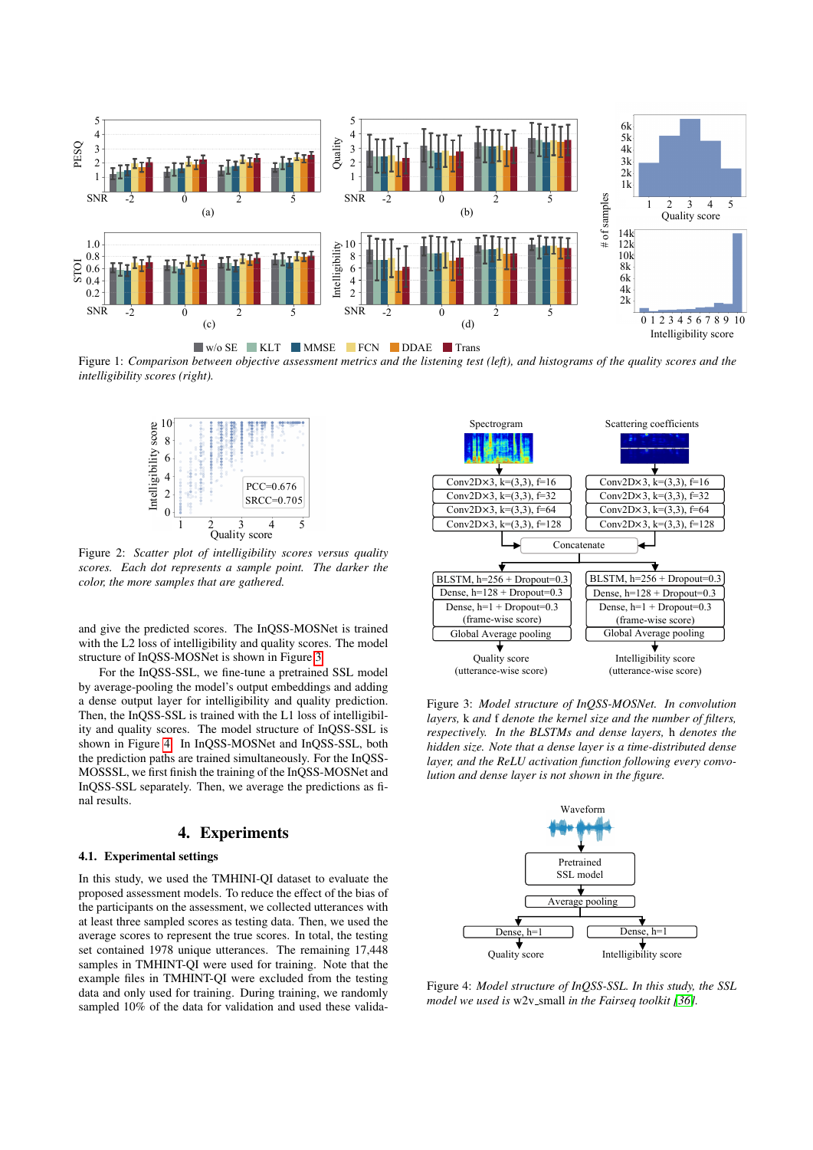<span id="page-2-0"></span>

<span id="page-2-1"></span>Figure 1: *Comparison between objective assessment metrics and the listening test (left), and histograms of the quality scores and the intelligibility scores (right).*



Figure 2: *Scatter plot of intelligibility scores versus quality scores. Each dot represents a sample point. The darker the color, the more samples that are gathered.*

and give the predicted scores. The InQSS-MOSNet is trained with the L2 loss of intelligibility and quality scores. The model structure of InQSS-MOSNet is shown in Figure [3.](#page-2-3)

For the InQSS-SSL, we fine-tune a pretrained SSL model by average-pooling the model's output embeddings and adding a dense output layer for intelligibility and quality prediction. Then, the InQSS-SSL is trained with the L1 loss of intelligibility and quality scores. The model structure of InQSS-SSL is shown in Figure [4.](#page-2-4) In InQSS-MOSNet and InQSS-SSL, both the prediction paths are trained simultaneously. For the InQSS-MOSSSL, we first finish the training of the InQSS-MOSNet and InQSS-SSL separately. Then, we average the predictions as final results.

# 4. Experiments

#### <span id="page-2-2"></span>4.1. Experimental settings

In this study, we used the TMHINI-QI dataset to evaluate the proposed assessment models. To reduce the effect of the bias of the participants on the assessment, we collected utterances with at least three sampled scores as testing data. Then, we used the average scores to represent the true scores. In total, the testing set contained 1978 unique utterances. The remaining 17,448 samples in TMHINT-QI were used for training. Note that the example files in TMHINT-QI were excluded from the testing data and only used for training. During training, we randomly sampled 10% of the data for validation and used these valida-

<span id="page-2-3"></span>

Figure 3: *Model structure of InQSS-MOSNet. In convolution layers,* k *and* f *denote the kernel size and the number of filters, respectively. In the BLSTMs and dense layers,* h *denotes the hidden size. Note that a dense layer is a time-distributed dense layer, and the ReLU activation function following every convolution and dense layer is not shown in the figure.*

<span id="page-2-4"></span>

Figure 4: *Model structure of InQSS-SSL. In this study, the SSL model we used is*  $w2v$ <sub>*-small in the Fairseq toolkit [\[36\]](#page-4-35).*</sub>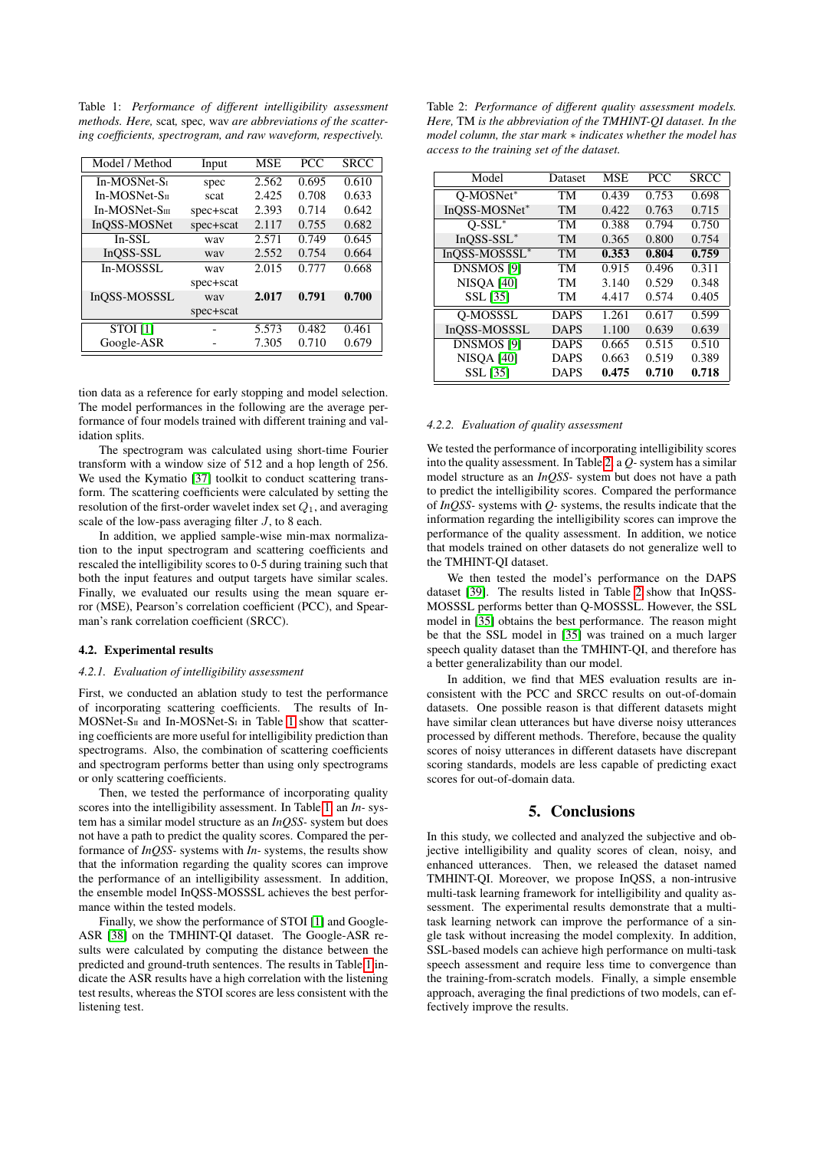<span id="page-3-0"></span>Table 1: *Performance of different intelligibility assessment methods. Here,* scat*,* spec*,* wav *are abbreviations of the scattering coefficients, spectrogram, and raw waveform, respectively.*

| Model / Method  | Input     | <b>MSE</b> | <b>PCC</b> | <b>SRCC</b> |
|-----------------|-----------|------------|------------|-------------|
| In-MOSNet-St    | spec      | 2.562      | 0.695      | 0.610       |
| $In-MOSNet-SII$ | scat      | 2.425      | 0.708      | 0.633       |
| $In-MOSNet-Sm$  | spec+scat | 2.393      | 0.714      | 0.642       |
| InQSS-MOSNet    | spec+scat | 2.117      | 0.755      | 0.682       |
| $In-SSL$        | way       | 2.571      | 0.749      | 0.645       |
| InOSS-SSL       | way       | 2.552      | 0.754      | 0.664       |
| In-MOSSSL       | way       | 2.015      | 0.777      | 0.668       |
|                 | spec+scat |            |            |             |
| InQSS-MOSSSL    | way       | 2.017      | 0.791      | 0.700       |
|                 | spec+scat |            |            |             |
| <b>STOI</b> [1] |           | 5.573      | 0.482      | 0.461       |
| Google-ASR      |           | 7.305      | 0.710      | 0.679       |

tion data as a reference for early stopping and model selection. The model performances in the following are the average performance of four models trained with different training and validation splits.

The spectrogram was calculated using short-time Fourier transform with a window size of 512 and a hop length of 256. We used the Kymatio [\[37\]](#page-4-36) toolkit to conduct scattering transform. The scattering coefficients were calculated by setting the resolution of the first-order wavelet index set  $Q_1$ , and averaging scale of the low-pass averaging filter J, to 8 each.

In addition, we applied sample-wise min-max normalization to the input spectrogram and scattering coefficients and rescaled the intelligibility scores to 0-5 during training such that both the input features and output targets have similar scales. Finally, we evaluated our results using the mean square error (MSE), Pearson's correlation coefficient (PCC), and Spearman's rank correlation coefficient (SRCC).

#### 4.2. Experimental results

### *4.2.1. Evaluation of intelligibility assessment*

First, we conducted an ablation study to test the performance of incorporating scattering coefficients. The results of In-MOSNet-S<sub>II</sub> and In-MOSNet-S<sub>I</sub> in Table [1](#page-3-0) show that scattering coefficients are more useful for intelligibility prediction than spectrograms. Also, the combination of scattering coefficients and spectrogram performs better than using only spectrograms or only scattering coefficients.

Then, we tested the performance of incorporating quality scores into the intelligibility assessment. In Table [1,](#page-3-0) an *In-* system has a similar model structure as an *InQSS-* system but does not have a path to predict the quality scores. Compared the performance of *InQSS-* systems with *In-* systems, the results show that the information regarding the quality scores can improve the performance of an intelligibility assessment. In addition, the ensemble model InQSS-MOSSSL achieves the best performance within the tested models.

Finally, we show the performance of STOI [\[1\]](#page-4-0) and Google-ASR [\[38\]](#page-4-37) on the TMHINT-QI dataset. The Google-ASR results were calculated by computing the distance between the predicted and ground-truth sentences. The results in Table [1](#page-3-0) indicate the ASR results have a high correlation with the listening test results, whereas the STOI scores are less consistent with the listening test.

<span id="page-3-1"></span>Table 2: *Performance of different quality assessment models. Here,* TM *is the abbreviation of the TMHINT-QI dataset. In the model column, the star mark* ∗ *indicates whether the model has access to the training set of the dataset.*

| Model             | Dataset     | <b>MSE</b> | <b>PCC</b> | SRCC  |
|-------------------|-------------|------------|------------|-------|
| Q-MOSNet*         | TM          | 0.439      | 0.753      | 0.698 |
| InOSS-MOSNet*     | TM          | 0.422      | 0.763      | 0.715 |
| $O-SSL^*$         | TM          | 0.388      | 0.794      | 0.750 |
| $InOSS-SSL^*$     | TM          | 0.365      | 0.800      | 0.754 |
| InQSS-MOSSSL*     | TM          | 0.353      | 0.804      | 0.759 |
| <b>DNSMOS [9]</b> | TM          | 0.915      | 0.496      | 0.311 |
| <b>NISOA [40]</b> | TM          | 3.140      | 0.529      | 0.348 |
| SSL [35]          | TM          | 4.417      | 0.574      | 0.405 |
| <b>O-MOSSSL</b>   | <b>DAPS</b> | 1.261      | 0.617      | 0.599 |
| InOSS-MOSSSL      | <b>DAPS</b> | 1.100      | 0.639      | 0.639 |
| <b>DNSMOS [9]</b> | <b>DAPS</b> | 0.665      | 0.515      | 0.510 |
| <b>NISOA [40]</b> | <b>DAPS</b> | 0.663      | 0.519      | 0.389 |
| <b>SSL</b> [35]   | DAPS        | 0.475      | 0.710      | 0.718 |

### *4.2.2. Evaluation of quality assessment*

We tested the performance of incorporating intelligibility scores into the quality assessment. In Table [2,](#page-3-1) a *Q-*system has a similar model structure as an *InQSS-* system but does not have a path to predict the intelligibility scores. Compared the performance of *InQSS-* systems with *Q-* systems, the results indicate that the information regarding the intelligibility scores can improve the performance of the quality assessment. In addition, we notice that models trained on other datasets do not generalize well to the TMHINT-QI dataset.

We then tested the model's performance on the DAPS dataset [\[39\]](#page-4-39). The results listed in Table [2](#page-3-1) show that InQSS-MOSSSL performs better than Q-MOSSSL. However, the SSL model in [\[35\]](#page-4-34) obtains the best performance. The reason might be that the SSL model in [\[35\]](#page-4-34) was trained on a much larger speech quality dataset than the TMHINT-QI, and therefore has a better generalizability than our model.

In addition, we find that MES evaluation results are inconsistent with the PCC and SRCC results on out-of-domain datasets. One possible reason is that different datasets might have similar clean utterances but have diverse noisy utterances processed by different methods. Therefore, because the quality scores of noisy utterances in different datasets have discrepant scoring standards, models are less capable of predicting exact scores for out-of-domain data.

# 5. Conclusions

In this study, we collected and analyzed the subjective and objective intelligibility and quality scores of clean, noisy, and enhanced utterances. Then, we released the dataset named TMHINT-QI. Moreover, we propose InQSS, a non-intrusive multi-task learning framework for intelligibility and quality assessment. The experimental results demonstrate that a multitask learning network can improve the performance of a single task without increasing the model complexity. In addition, SSL-based models can achieve high performance on multi-task speech assessment and require less time to convergence than the training-from-scratch models. Finally, a simple ensemble approach, averaging the final predictions of two models, can effectively improve the results.